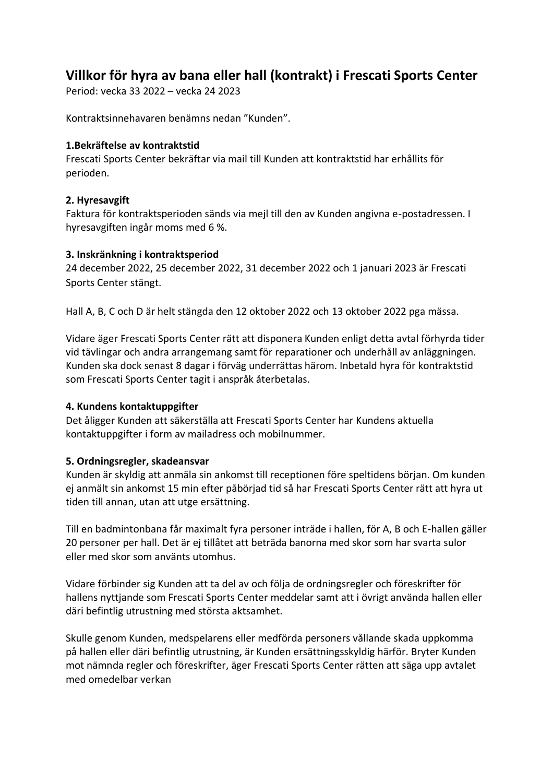## **Villkor för hyra av bana eller hall (kontrakt) i Frescati Sports Center**

Period: vecka 33 2022 – vecka 24 2023

Kontraktsinnehavaren benämns nedan "Kunden".

#### **1.Bekräftelse av kontraktstid**

Frescati Sports Center bekräftar via mail till Kunden att kontraktstid har erhållits för perioden.

## **2. Hyresavgift**

Faktura för kontraktsperioden sänds via mejl till den av Kunden angivna e-postadressen. I hyresavgiften ingår moms med 6 %.

#### **3. Inskränkning i kontraktsperiod**

24 december 2022, 25 december 2022, 31 december 2022 och 1 januari 2023 är Frescati Sports Center stängt.

Hall A, B, C och D är helt stängda den 12 oktober 2022 och 13 oktober 2022 pga mässa.

Vidare äger Frescati Sports Center rätt att disponera Kunden enligt detta avtal förhyrda tider vid tävlingar och andra arrangemang samt för reparationer och underhåll av anläggningen. Kunden ska dock senast 8 dagar i förväg underrättas härom. Inbetald hyra för kontraktstid som Frescati Sports Center tagit i anspråk återbetalas.

## **4. Kundens kontaktuppgifter**

Det åligger Kunden att säkerställa att Frescati Sports Center har Kundens aktuella kontaktuppgifter i form av mailadress och mobilnummer.

## **5. Ordningsregler, skadeansvar**

Kunden är skyldig att anmäla sin ankomst till receptionen före speltidens början. Om kunden ej anmält sin ankomst 15 min efter påbörjad tid så har Frescati Sports Center rätt att hyra ut tiden till annan, utan att utge ersättning.

Till en badmintonbana får maximalt fyra personer inträde i hallen, för A, B och E-hallen gäller 20 personer per hall. Det är ej tillåtet att beträda banorna med skor som har svarta sulor eller med skor som använts utomhus.

Vidare förbinder sig Kunden att ta del av och följa de ordningsregler och föreskrifter för hallens nyttjande som Frescati Sports Center meddelar samt att i övrigt använda hallen eller däri befintlig utrustning med största aktsamhet.

Skulle genom Kunden, medspelarens eller medförda personers vållande skada uppkomma på hallen eller däri befintlig utrustning, är Kunden ersättningsskyldig härför. Bryter Kunden mot nämnda regler och föreskrifter, äger Frescati Sports Center rätten att säga upp avtalet med omedelbar verkan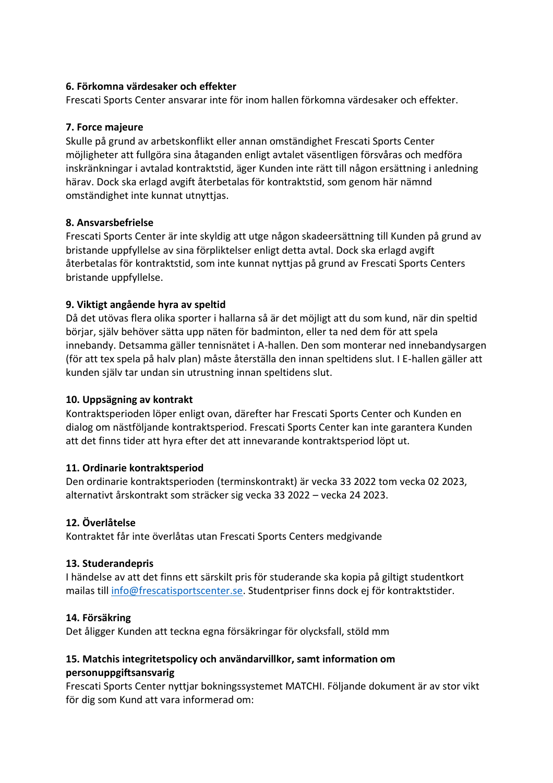## **6. Förkomna värdesaker och effekter**

Frescati Sports Center ansvarar inte för inom hallen förkomna värdesaker och effekter.

#### **7. Force majeure**

Skulle på grund av arbetskonflikt eller annan omständighet Frescati Sports Center möjligheter att fullgöra sina åtaganden enligt avtalet väsentligen försvåras och medföra inskränkningar i avtalad kontraktstid, äger Kunden inte rätt till någon ersättning i anledning härav. Dock ska erlagd avgift återbetalas för kontraktstid, som genom här nämnd omständighet inte kunnat utnyttjas.

#### **8. Ansvarsbefrielse**

Frescati Sports Center är inte skyldig att utge någon skadeersättning till Kunden på grund av bristande uppfyllelse av sina förpliktelser enligt detta avtal. Dock ska erlagd avgift återbetalas för kontraktstid, som inte kunnat nyttjas på grund av Frescati Sports Centers bristande uppfyllelse.

## **9. Viktigt angående hyra av speltid**

Då det utövas flera olika sporter i hallarna så är det möjligt att du som kund, när din speltid börjar, själv behöver sätta upp näten för badminton, eller ta ned dem för att spela innebandy. Detsamma gäller tennisnätet i A-hallen. Den som monterar ned innebandysargen (för att tex spela på halv plan) måste återställa den innan speltidens slut. I E-hallen gäller att kunden själv tar undan sin utrustning innan speltidens slut.

#### **10. Uppsägning av kontrakt**

Kontraktsperioden löper enligt ovan, därefter har Frescati Sports Center och Kunden en dialog om nästföljande kontraktsperiod. Frescati Sports Center kan inte garantera Kunden att det finns tider att hyra efter det att innevarande kontraktsperiod löpt ut.

## **11. Ordinarie kontraktsperiod**

Den ordinarie kontraktsperioden (terminskontrakt) är vecka 33 2022 tom vecka 02 2023, alternativt årskontrakt som sträcker sig vecka 33 2022 – vecka 24 2023.

## **12. Överlåtelse**

Kontraktet får inte överlåtas utan Frescati Sports Centers medgivande

## **13. Studerandepris**

I händelse av att det finns ett särskilt pris för studerande ska kopia på giltigt studentkort mailas till [info@frescatisportscenter.se.](mailto:info@frescatisportscenter.se) Studentpriser finns dock ej för kontraktstider.

#### **14. Försäkring**

Det åligger Kunden att teckna egna försäkringar för olycksfall, stöld mm

## **15. Matchis integritetspolicy och användarvillkor, samt information om personuppgiftsansvarig**

Frescati Sports Center nyttjar bokningssystemet MATCHI. Följande dokument är av stor vikt för dig som Kund att vara informerad om: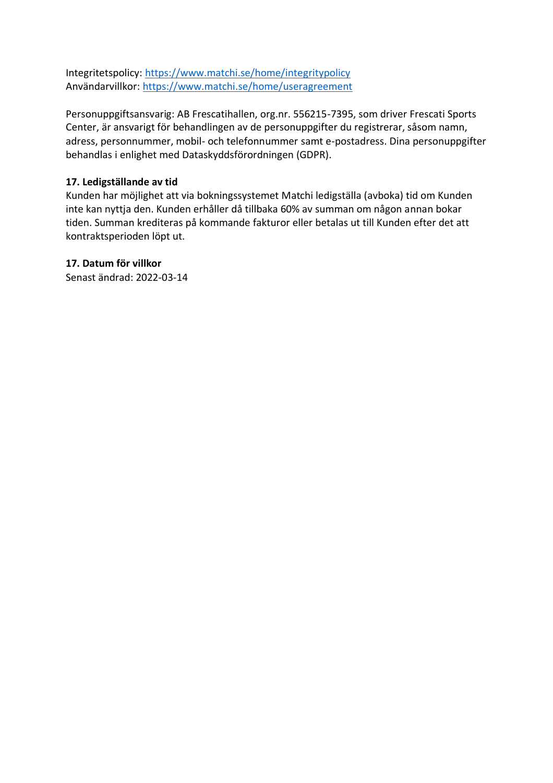Integritetspolicy:<https://www.matchi.se/home/integritypolicy> Användarvillkor:<https://www.matchi.se/home/useragreement>

Personuppgiftsansvarig: AB Frescatihallen, org.nr. 556215-7395, som driver Frescati Sports Center, är ansvarigt för behandlingen av de personuppgifter du registrerar, såsom namn, adress, personnummer, mobil- och telefonnummer samt e-postadress. Dina personuppgifter behandlas i enlighet med Dataskyddsförordningen (GDPR).

## **17. Ledigställande av tid**

Kunden har möjlighet att via bokningssystemet Matchi ledigställa (avboka) tid om Kunden inte kan nyttja den. Kunden erhåller då tillbaka 60% av summan om någon annan bokar tiden. Summan krediteras på kommande fakturor eller betalas ut till Kunden efter det att kontraktsperioden löpt ut.

#### **17. Datum för villkor**

Senast ändrad: 2022-03-14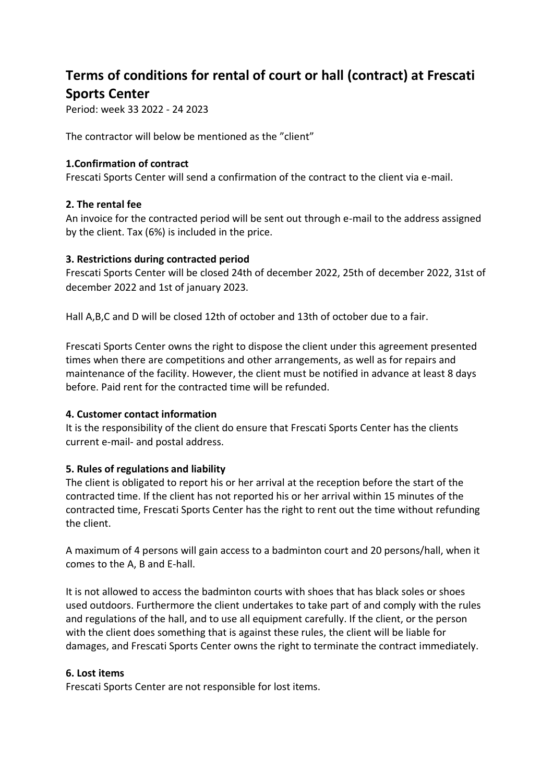# **Terms of conditions for rental of court or hall (contract) at Frescati Sports Center**

Period: week 33 2022 - 24 2023

The contractor will below be mentioned as the "client"

#### **1.Confirmation of contract**

Frescati Sports Center will send a confirmation of the contract to the client via e-mail.

#### **2. The rental fee**

An invoice for the contracted period will be sent out through e-mail to the address assigned by the client. Tax (6%) is included in the price.

#### **3. Restrictions during contracted period**

Frescati Sports Center will be closed 24th of december 2022, 25th of december 2022, 31st of december 2022 and 1st of january 2023.

Hall A,B,C and D will be closed 12th of october and 13th of october due to a fair.

Frescati Sports Center owns the right to dispose the client under this agreement presented times when there are competitions and other arrangements, as well as for repairs and maintenance of the facility. However, the client must be notified in advance at least 8 days before. Paid rent for the contracted time will be refunded.

#### **4. Customer contact information**

It is the responsibility of the client do ensure that Frescati Sports Center has the clients current e-mail- and postal address.

## **5. Rules of regulations and liability**

The client is obligated to report his or her arrival at the reception before the start of the contracted time. If the client has not reported his or her arrival within 15 minutes of the contracted time, Frescati Sports Center has the right to rent out the time without refunding the client.

A maximum of 4 persons will gain access to a badminton court and 20 persons/hall, when it comes to the A, B and E-hall.

It is not allowed to access the badminton courts with shoes that has black soles or shoes used outdoors. Furthermore the client undertakes to take part of and comply with the rules and regulations of the hall, and to use all equipment carefully. If the client, or the person with the client does something that is against these rules, the client will be liable for damages, and Frescati Sports Center owns the right to terminate the contract immediately.

#### **6. Lost items**

Frescati Sports Center are not responsible for lost items.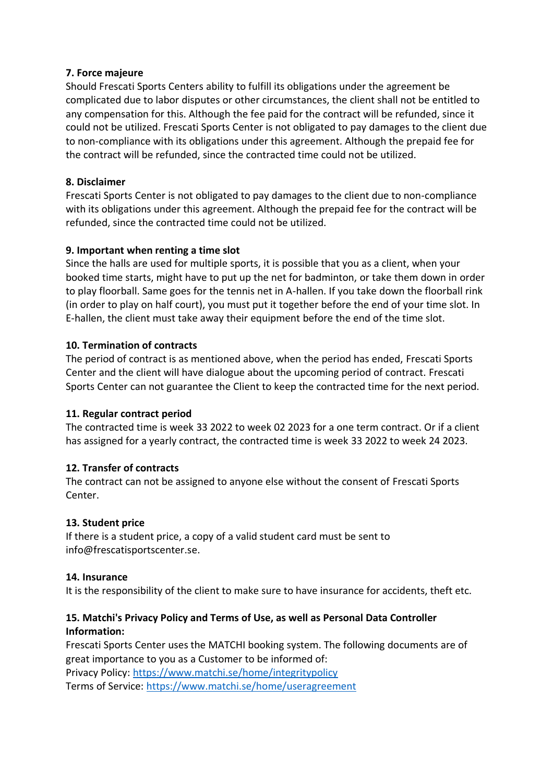#### **7. Force majeure**

Should Frescati Sports Centers ability to fulfill its obligations under the agreement be complicated due to labor disputes or other circumstances, the client shall not be entitled to any compensation for this. Although the fee paid for the contract will be refunded, since it could not be utilized. Frescati Sports Center is not obligated to pay damages to the client due to non-compliance with its obligations under this agreement. Although the prepaid fee for the contract will be refunded, since the contracted time could not be utilized.

#### **8. Disclaimer**

Frescati Sports Center is not obligated to pay damages to the client due to non-compliance with its obligations under this agreement. Although the prepaid fee for the contract will be refunded, since the contracted time could not be utilized.

## **9. Important when renting a time slot**

Since the halls are used for multiple sports, it is possible that you as a client, when your booked time starts, might have to put up the net for badminton, or take them down in order to play floorball. Same goes for the tennis net in A-hallen. If you take down the floorball rink (in order to play on half court), you must put it together before the end of your time slot. In E-hallen, the client must take away their equipment before the end of the time slot.

#### **10. Termination of contracts**

The period of contract is as mentioned above, when the period has ended, Frescati Sports Center and the client will have dialogue about the upcoming period of contract. Frescati Sports Center can not guarantee the Client to keep the contracted time for the next period.

## **11. Regular contract period**

The contracted time is week 33 2022 to week 02 2023 for a one term contract. Or if a client has assigned for a yearly contract, the contracted time is week 33 2022 to week 24 2023.

## **12. Transfer of contracts**

The contract can not be assigned to anyone else without the consent of Frescati Sports Center.

## **13. Student price**

If there is a student price, a copy of a valid student card must be sent to info@frescatisportscenter.se.

#### **14. Insurance**

It is the responsibility of the client to make sure to have insurance for accidents, theft etc.

## **15. Matchi's Privacy Policy and Terms of Use, as well as Personal Data Controller Information:**

Frescati Sports Center uses the MATCHI booking system. The following documents are of great importance to you as a Customer to be informed of: Privacy Policy:<https://www.matchi.se/home/integritypolicy>

Terms of Service:<https://www.matchi.se/home/useragreement>